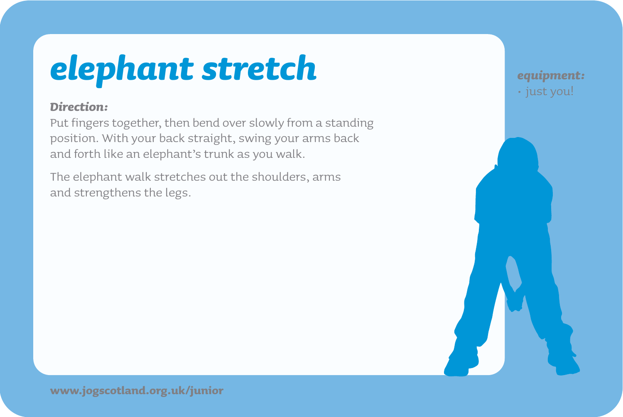## *elephant stretch*

### *Direction:*

Put fingers together, then bend over slowly from a standing position. With your back straight, swing your arms back and forth like an elephant's trunk as you walk.

The elephant walk stretches out the shoulders, arms and strengthens the legs.

*equipment:* • just you!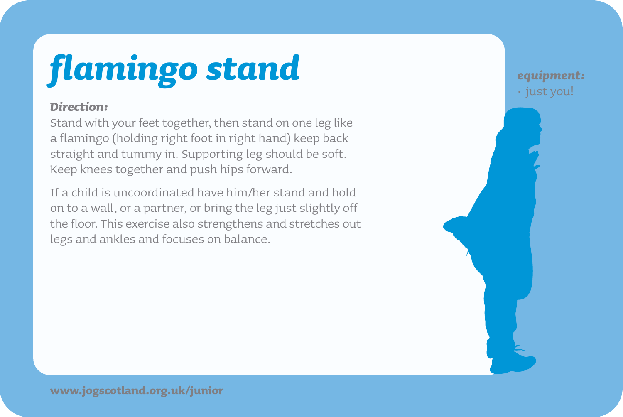# *flamingo stand*

### *Direction:*

Stand with your feet together, then stand on one leg like a flamingo (holding right foot in right hand) keep back straight and tummy in. Supporting leg should be soft. Keep knees together and push hips forward.

If a child is uncoordinated have him/her stand and hold on to a wall, or a partner, or bring the leg just slightly off the floor. This exercise also strengthens and stretches out legs and ankles and focuses on balance.

*equipment:* • just you!

**www.jogscotland.org.uk/junior**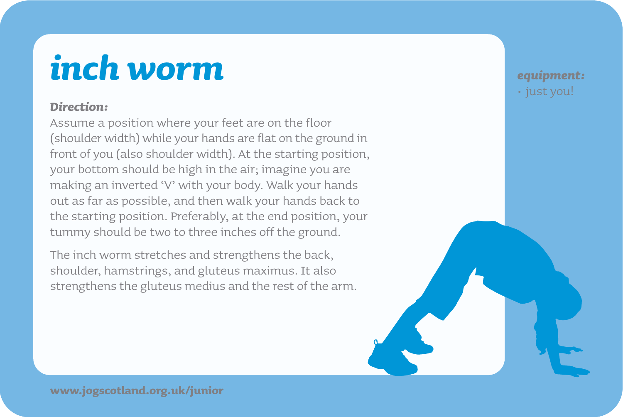### *inch worm*

### *Direction:*

Assume a position where your feet are on the floor (shoulder width) while your hands are flat on the ground in front of you (also shoulder width). At the starting position, your bottom should be high in the air; imagine you are making an inverted 'V' with your body. Walk your hands out as far as possible, and then walk your hands back to the starting position. Preferably, at the end position, your tummy should be two to three inches off the ground.

The inch worm stretches and strengthens the back, shoulder, hamstrings, and gluteus maximus. It also strengthens the gluteus medius and the rest of the arm. *equipment:* • just you!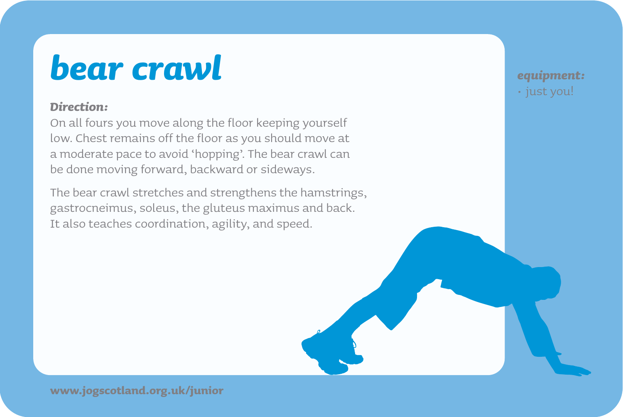### *bear crawl*

### *Direction:*

On all fours you move along the floor keeping yourself low. Chest remains off the floor as you should move at a moderate pace to avoid 'hopping'. The bear crawl can be done moving forward, backward or sideways.

The bear crawl stretches and strengthens the hamstrings, gastrocneimus, soleus, the gluteus maximus and back. It also teaches coordination, agility, and speed.

*equipment:* • just you!

**www.jogscotland.org.uk/junior**